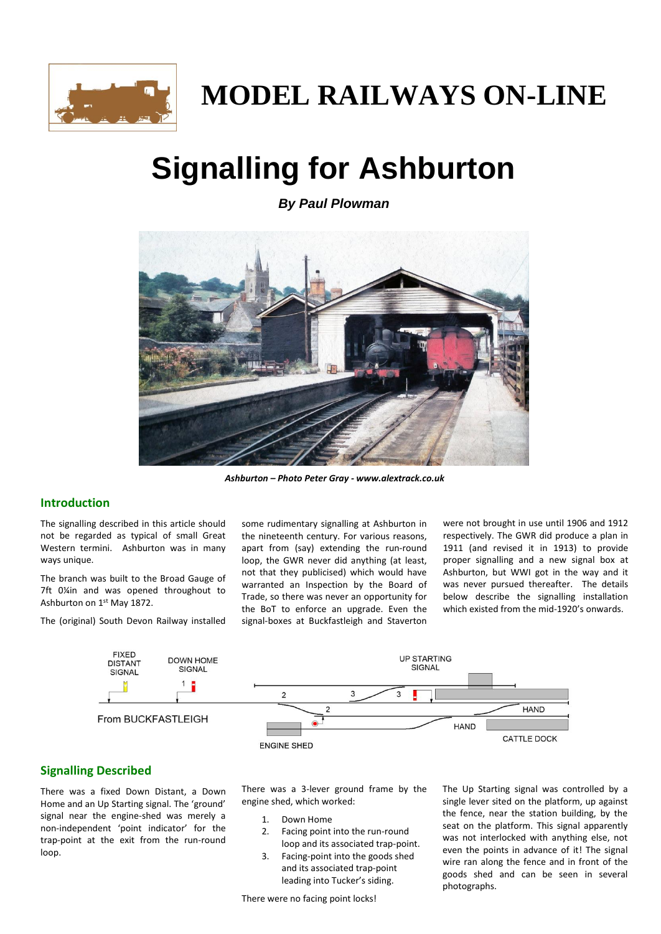

# **MODEL RAILWAYS ON-LINE**

# **Signalling for Ashburton**

*By Paul Plowman*



*Ashburton – Photo Peter Gray - www.alextrack.co.uk*

## **Introduction**

The signalling described in this article should not be regarded as typical of small Great Western termini. Ashburton was in many ways unique.

The branch was built to the Broad Gauge of 7ft 0¼in and was opened throughout to Ashburton on 1st May 1872.

The (original) South Devon Railway installed

some rudimentary signalling at Ashburton in the nineteenth century. For various reasons, apart from (say) extending the run-round loop, the GWR never did anything (at least, not that they publicised) which would have warranted an Inspection by the Board of Trade, so there was never an opportunity for the BoT to enforce an upgrade. Even the signal-boxes at Buckfastleigh and Staverton

were not brought in use until 1906 and 1912 respectively. The GWR did produce a plan in 1911 (and revised it in 1913) to provide proper signalling and a new signal box at Ashburton, but WWI got in the way and it was never pursued thereafter. The details below describe the signalling installation which existed from the mid-1920's onwards.



## **Signalling Described**

There was a fixed Down Distant, a Down Home and an Up Starting signal. The 'ground' signal near the engine-shed was merely a non-independent 'point indicator' for the trap-point at the exit from the run-round loop.

There was a 3-lever ground frame by the engine shed, which worked:

- 1. Down Home
- 2. Facing point into the run-round loop and its associated trap-point.
- 3. Facing-point into the goods shed and its associated trap-point leading into Tucker's siding.

There were no facing point locks!

The Up Starting signal was controlled by a single lever sited on the platform, up against the fence, near the station building, by the seat on the platform. This signal apparently was not interlocked with anything else, not even the points in advance of it! The signal wire ran along the fence and in front of the goods shed and can be seen in several photographs.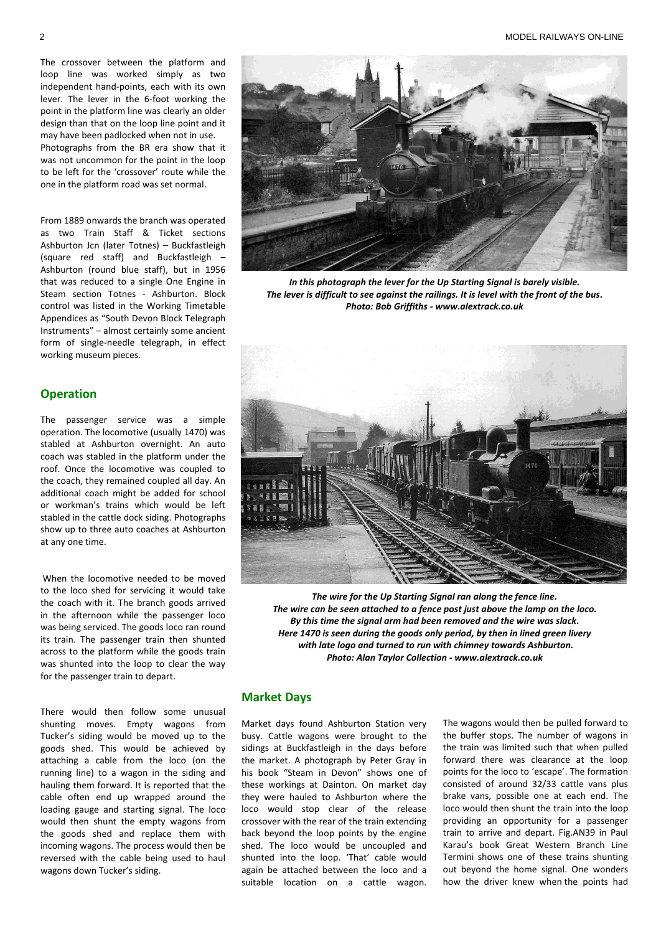The crossover between the platform and loop line was worked simply as two independent hand-points, each with its own lever. The lever in the 6-foot working the point in the platform line was clearly an older design than that on the loop line point and it may have been padlocked when not in use. Photographs from the BR era show that it was not uncommon for the point in the loop to be left for the 'crossover' route while the one in the platform road was set normal.

From 1889 onwards the branch was operated as two Train Staff & Ticket sections Ashburton Jcn (later Totnes) – Buckfastleigh (square red staff) and Buckfastleigh – Ashburton (round blue staff), but in 1956 that was reduced to a single One Engine in Steam section Totnes - Ashburton. Block control was listed in the Working Timetable Appendices as "South Devon Block Telegraph Instruments" – almost certainly some ancient form of single-needle telegraph, in effect working museum pieces.

## **Operation**

The passenger service was a simple operation. The locomotive (usually 1470) was stabled at Ashburton overnight. An auto coach was stabled in the platform under the roof. Once the locomotive was coupled to the coach, they remained coupled all day. An additional coach might be added for school or workman's trains which would be left stabled in the cattle dock siding. Photographs show up to three auto coaches at Ashburton at any one time.

When the locomotive needed to be moved to the loco shed for servicing it would take the coach with it. The branch goods arrived in the afternoon while the passenger loco was being serviced. The goods loco ran round its train. The passenger train then shunted across to the platform while the goods train was shunted into the loop to clear the way for the passenger train to depart.

There would then follow some unusual shunting moves. Empty wagons from Tucker's siding would be moved up to the goods shed. This would be achieved by attaching a cable from the loco (on the running line) to a wagon in the siding and hauling them forward. It is reported that the cable often end up wrapped around the loading gauge and starting signal. The loco would then shunt the empty wagons from the goods shed and replace them with incoming wagons. The process would then be reversed with the cable being used to haul wagons down Tucker's siding.



*In this photograph the lever for the Up Starting Signal is barely visible. The lever is difficult to see against the railings. It is level with the front of the bus. Photo: Bob Griffiths - www.alextrack.co.uk*



*The wire for the Up Starting Signal ran along the fence line. The wire can be seen attached to a fence post just above the lamp on the loco. By this time the signal arm had been removed and the wire was slack. Here 1470 is seen during the goods only period, by then in lined green livery with late logo and turned to run with chimney towards Ashburton. Photo: Alan Taylor Collection - www.alextrack.co.uk*

#### **Market Days**

Market days found Ashburton Station very busy. Cattle wagons were brought to the sidings at Buckfastleigh in the days before the market. A photograph by Peter Gray in his book "Steam in Devon" shows one of these workings at Dainton. On market day they were hauled to Ashburton where the loco would stop clear of the release crossover with the rear of the train extending back beyond the loop points by the engine shed. The loco would be uncoupled and shunted into the loop. 'That' cable would again be attached between the loco and a suitable location on a cattle wagon. The wagons would then be pulled forward to the buffer stops. The number of wagons in the train was limited such that when pulled forward there was clearance at the loop points for the loco to 'escape'. The formation consisted of around 32/33 cattle vans plus brake vans, possible one at each end. The loco would then shunt the train into the loop providing an opportunity for a passenger train to arrive and depart. Fig.AN39 in Paul Karau's book Great Western Branch Line Termini shows one of these trains shunting out beyond the home signal. One wonders how the driver knew when the points had